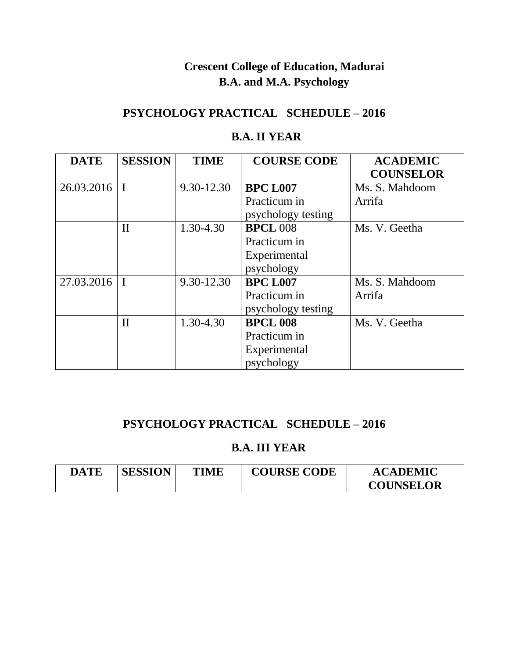## **Crescent College of Education, Madurai B.A. and M.A. Psychology**

### **PSYCHOLOGY PRACTICAL SCHEDULE – 2016**

#### **B.A. II YEAR**

| <b>DATE</b> | <b>SESSION</b> | <b>TIME</b> | <b>COURSE CODE</b> | <b>ACADEMIC</b>  |
|-------------|----------------|-------------|--------------------|------------------|
|             |                |             |                    | <b>COUNSELOR</b> |
| 26.03.2016  |                | 9.30-12.30  | <b>BPC L007</b>    | Ms. S. Mahdoom   |
|             |                |             | Practicum in       | Arrifa           |
|             |                |             | psychology testing |                  |
|             | $\mathbf{I}$   | 1.30-4.30   | <b>BPCL 008</b>    | Ms. V. Geetha    |
|             |                |             | Practicum in       |                  |
|             |                |             | Experimental       |                  |
|             |                |             | psychology         |                  |
| 27.03.2016  |                | 9.30-12.30  | <b>BPC L007</b>    | Ms. S. Mahdoom   |
|             |                |             | Practicum in       | Arrifa           |
|             |                |             | psychology testing |                  |
|             | $\mathbf{I}$   | 1.30-4.30   | <b>BPCL 008</b>    | Ms. V. Geetha    |
|             |                |             | Practicum in       |                  |
|             |                |             | Experimental       |                  |
|             |                |             | psychology         |                  |

### **PSYCHOLOGY PRACTICAL SCHEDULE – 2016**

#### **B.A. III YEAR**

| DATE | <b>SESSION</b> | <b>TIME</b> | <b>COURSE CODE</b> | <b>ACADEMIC</b>  |
|------|----------------|-------------|--------------------|------------------|
|      |                |             |                    | <b>COUNSELOR</b> |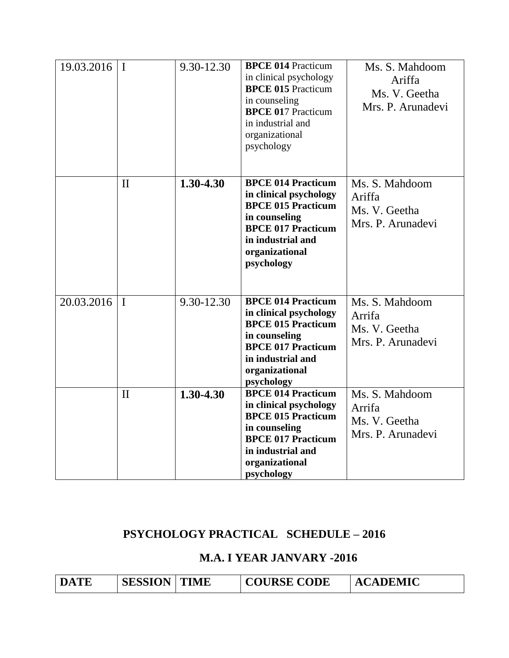| $19.03.2016$   I |              | 9.30-12.30 | <b>BPCE 014 Practicum</b><br>in clinical psychology<br><b>BPCE 015 Practicum</b><br>in counseling<br><b>BPCE 017 Practicum</b><br>in industrial and<br>organizational<br>psychology | Ms. S. Mahdoom<br>Ariffa<br>Ms. V. Geetha<br>Mrs. P. Arunadevi |
|------------------|--------------|------------|-------------------------------------------------------------------------------------------------------------------------------------------------------------------------------------|----------------------------------------------------------------|
|                  | $\mathbf{I}$ | 1.30-4.30  | <b>BPCE 014 Practicum</b><br>in clinical psychology<br><b>BPCE 015 Practicum</b><br>in counseling<br><b>BPCE 017 Practicum</b><br>in industrial and<br>organizational<br>psychology | Ms. S. Mahdoom<br>Ariffa<br>Ms. V. Geetha<br>Mrs. P. Arunadevi |
| $20.03.2016$   I |              | 9.30-12.30 | <b>BPCE 014 Practicum</b><br>in clinical psychology<br><b>BPCE 015 Practicum</b><br>in counseling<br><b>BPCE 017 Practicum</b><br>in industrial and<br>organizational<br>psychology | Ms. S. Mahdoom<br>Arrifa<br>Ms. V. Geetha<br>Mrs. P. Arunadevi |
|                  | $\mathbf{I}$ | 1.30-4.30  | <b>BPCE 014 Practicum</b><br>in clinical psychology<br><b>BPCE 015 Practicum</b><br>in counseling<br><b>BPCE 017 Practicum</b><br>in industrial and<br>organizational<br>psychology | Ms. S. Mahdoom<br>Arrifa<br>Ms. V. Geetha<br>Mrs. P. Arunadevi |

## **PSYCHOLOGY PRACTICAL SCHEDULE – 2016**

#### **M.A. I YEAR JANVARY -2016**

| <b>DATE</b> | <b>SESSION   TIME</b> |  | <b>COURSE CODE</b> | <b>ACADEMIC</b> |
|-------------|-----------------------|--|--------------------|-----------------|
|-------------|-----------------------|--|--------------------|-----------------|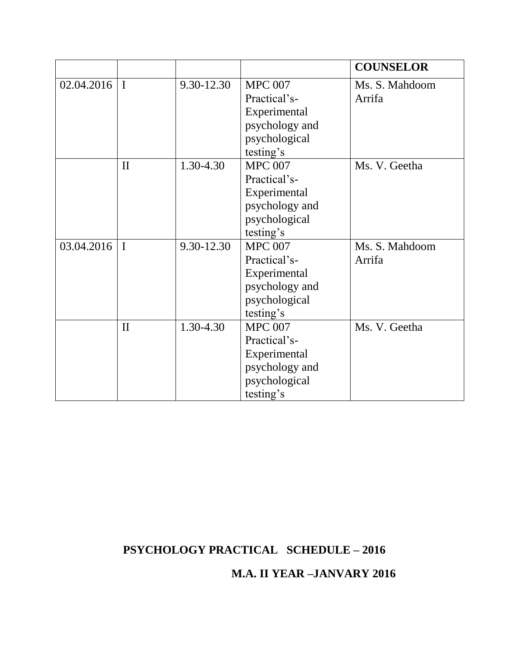|                  |              |            |                | <b>COUNSELOR</b> |
|------------------|--------------|------------|----------------|------------------|
| $02.04.2016$   I |              | 9.30-12.30 | <b>MPC 007</b> | Ms. S. Mahdoom   |
|                  |              |            | Practical's-   | Arrifa           |
|                  |              |            | Experimental   |                  |
|                  |              |            | psychology and |                  |
|                  |              |            | psychological  |                  |
|                  |              |            | testing's      |                  |
|                  | $\mathbf{I}$ | 1.30-4.30  | <b>MPC 007</b> | Ms. V. Geetha    |
|                  |              |            | Practical's-   |                  |
|                  |              |            | Experimental   |                  |
|                  |              |            | psychology and |                  |
|                  |              |            | psychological  |                  |
|                  |              |            | testing's      |                  |
| 03.04.2016       | $\mathbf{I}$ | 9.30-12.30 | <b>MPC 007</b> | Ms. S. Mahdoom   |
|                  |              |            | Practical's-   | Arrifa           |
|                  |              |            | Experimental   |                  |
|                  |              |            | psychology and |                  |
|                  |              |            | psychological  |                  |
|                  |              |            | testing's      |                  |
|                  | $\mathbf{I}$ | 1.30-4.30  | <b>MPC 007</b> | Ms. V. Geetha    |
|                  |              |            | Practical's-   |                  |
|                  |              |            | Experimental   |                  |
|                  |              |            | psychology and |                  |
|                  |              |            | psychological  |                  |
|                  |              |            | testing's      |                  |

# **PSYCHOLOGY PRACTICAL SCHEDULE – 2016**

 **M.A. II YEAR –JANVARY 2016**